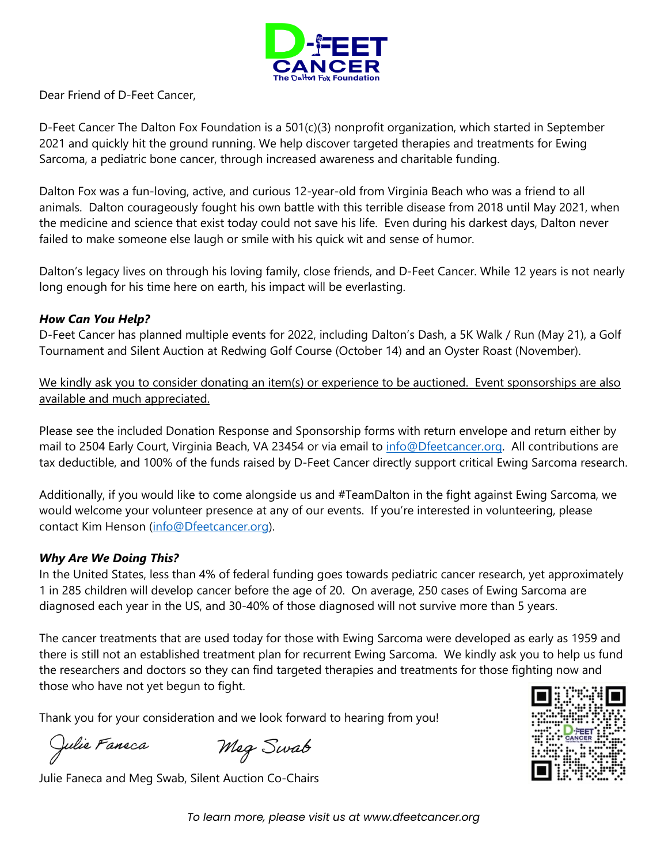

Dear Friend of D-Feet Cancer,

D-Feet Cancer The Dalton Fox Foundation is a 501(c)(3) nonprofit organization, which started in September 2021 and quickly hit the ground running. We help discover targeted therapies and treatments for Ewing Sarcoma, a pediatric bone cancer, through increased awareness and charitable funding.

Dalton Fox was a fun-loving, active, and curious 12-year-old from Virginia Beach who was a friend to all animals. Dalton courageously fought his own battle with this terrible disease from 2018 until May 2021, when the medicine and science that exist today could not save his life. Even during his darkest days, Dalton never failed to make someone else laugh or smile with his quick wit and sense of humor.

Dalton's legacy lives on through his loving family, close friends, and D-Feet Cancer. While 12 years is not nearly long enough for his time here on earth, his impact will be everlasting.

## *How Can You Help?*

D-Feet Cancer has planned multiple events for 2022, including Dalton's Dash, a 5K Walk / Run (May 21), a Golf Tournament and Silent Auction at Redwing Golf Course (October 14) and an Oyster Roast (November).

We kindly ask you to consider donating an item(s) or experience to be auctioned. Event sponsorships are also available and much appreciated.

Please see the included Donation Response and Sponsorship forms with return envelope and return either by mail to 2504 Early Court, Virginia Beach, VA 23454 or via email to *info@Dfeetcancer.org*. All contributions are tax deductible, and 100% of the funds raised by D-Feet Cancer directly support critical Ewing Sarcoma research.

Additionally, if you would like to come alongside us and #TeamDalton in the fight against Ewing Sarcoma, we would welcome your volunteer presence at any of our events. If you're interested in volunteering, please contact Kim Henson [\(info@Dfeetcancer.org\)](mailto:info@Dfeetcancer.org).

## *Why Are We Doing This?*

In the United States, less than 4% of federal funding goes towards pediatric cancer research, yet approximately 1 in 285 children will develop cancer before the age of 20. On average, 250 cases of Ewing Sarcoma are diagnosed each year in the US, and 30-40% of those diagnosed will not survive more than 5 years.

The cancer treatments that are used today for those with Ewing Sarcoma were developed as early as 1959 and there is still not an established treatment plan for recurrent Ewing Sarcoma. We kindly ask you to help us fund the researchers and doctors so they can find targeted therapies and treatments for those fighting now and those who have not yet begun to fight.

Thank you for your consideration and we look forward to hearing from you!

Julie Faneca

Meg Swab Julie Faneca and Meg Swab, Silent Auction Co-Chairs